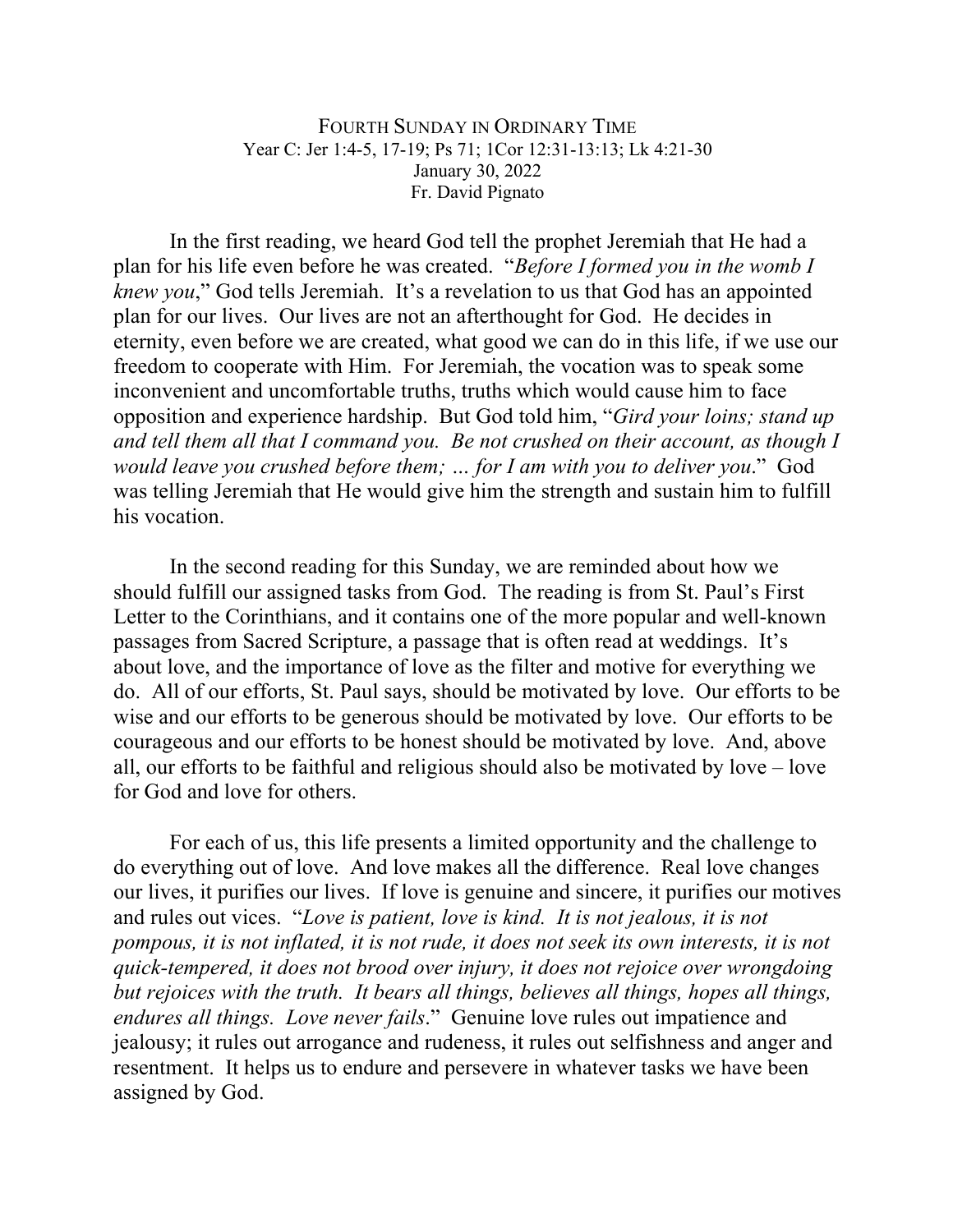## FOURTH SUNDAY IN ORDINARY TIME Year C: Jer 1:4-5, 17-19; Ps 71; 1Cor 12:31-13:13; Lk 4:21-30 January 30, 2022 Fr. David Pignato

In the first reading, we heard God tell the prophet Jeremiah that He had a plan for his life even before he was created. "*Before I formed you in the womb I knew you*," God tells Jeremiah. It's a revelation to us that God has an appointed plan for our lives. Our lives are not an afterthought for God. He decides in eternity, even before we are created, what good we can do in this life, if we use our freedom to cooperate with Him. For Jeremiah, the vocation was to speak some inconvenient and uncomfortable truths, truths which would cause him to face opposition and experience hardship. But God told him, "*Gird your loins; stand up and tell them all that I command you. Be not crushed on their account, as though I would leave you crushed before them; … for I am with you to deliver you*." God was telling Jeremiah that He would give him the strength and sustain him to fulfill his vocation.

In the second reading for this Sunday, we are reminded about how we should fulfill our assigned tasks from God. The reading is from St. Paul's First Letter to the Corinthians, and it contains one of the more popular and well-known passages from Sacred Scripture, a passage that is often read at weddings. It's about love, and the importance of love as the filter and motive for everything we do. All of our efforts, St. Paul says, should be motivated by love. Our efforts to be wise and our efforts to be generous should be motivated by love. Our efforts to be courageous and our efforts to be honest should be motivated by love. And, above all, our efforts to be faithful and religious should also be motivated by love – love for God and love for others.

For each of us, this life presents a limited opportunity and the challenge to do everything out of love. And love makes all the difference. Real love changes our lives, it purifies our lives. If love is genuine and sincere, it purifies our motives and rules out vices. "*Love is patient, love is kind. It is not jealous, it is not pompous, it is not inflated, it is not rude, it does not seek its own interests, it is not quick-tempered, it does not brood over injury, it does not rejoice over wrongdoing but rejoices with the truth. It bears all things, believes all things, hopes all things, endures all things. Love never fails*." Genuine love rules out impatience and jealousy; it rules out arrogance and rudeness, it rules out selfishness and anger and resentment. It helps us to endure and persevere in whatever tasks we have been assigned by God.